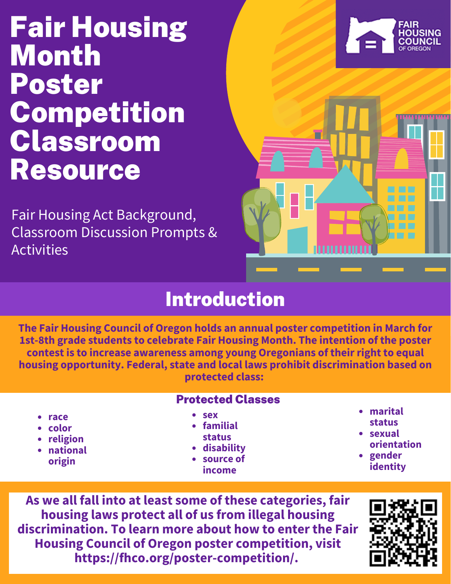# Fair Housing Month Poster Competition Classroom Resource

Fair Housing Act Background, Classroom Discussion Prompts & Activities





# Introduction

**The Fair Housing Council of Oregon holds an annual poster competition in March for 1st-8th grade students to celebrate Fair Housing Month. The intention of the poster contest is to increase awareness among young Oregonians of their right to equal housing opportunity. Federal, state and local laws prohibit discrimination based on protected class:**

|                                                         | <b>Protected Classes</b>                                                      |                                                                        |
|---------------------------------------------------------|-------------------------------------------------------------------------------|------------------------------------------------------------------------|
| • race<br>• color<br>• religion<br>• national<br>origin | • sex<br>• familial<br><b>status</b><br>• disability<br>• source of<br>income | • marital<br>status<br>• sexual<br>orientation<br>• gender<br>identity |

**As we all fall into at least some of these categories, fair housing laws protect all of us from illegal housing discrimination. To learn more about how to enter the Fair Housing Council of Oregon poster competition, visit [https://fhco.org/poster-competition/.](https://fhco.org/poster-competition/)**

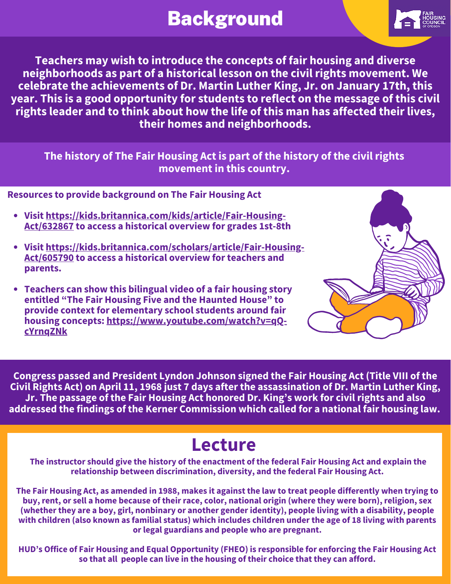# Background



**Teachers may wish to introduce the concepts of fair housing and diverse neighborhoods as part of a historical lesson on the civil rights movement. We celebrate the achievements of Dr. Martin Luther King, Jr. on January 17th, this year. This is a good opportunity for students to reflect on the message of this civil rights leader and to think about how the life of this man has affected their lives, their homes and neighborhoods.**

**The history of The Fair Housing Act is part of the history of the civil rights movement in this country.**

**Resources to provide background on The Fair Housing Act**

- **Visit [https://kids.britannica.com/kids/article/Fair-Housing-](https://kids.britannica.com/kids/article/Fair-Housing-Act/632867)Act/632867 to access a historical overview for grades 1st-8th**
- **Visit [https://kids.britannica.com/scholars/article/Fair-Housing-](https://kids.britannica.com/scholars/article/Fair-Housing-Act/605790)Act/605790 to access a historical overview for teachers and parents.**
- **Teachers can show this bilingual video of a fair housing story entitled "The Fair Housing Five and the Haunted House" to provide context for elementary school students around fair housing concepts: [https://www.youtube.com/watch?v=qQ](https://www.youtube.com/watch?v=qQ-cYrnqZNk)cYrnqZNk**



**Congress passed and President Lyndon Johnson signed the Fair Housing Act (Title VIII of the Civil Rights Act) on April 11, 1968 just 7 days after the assassination of Dr. Martin Luther King, Jr. The passage of the Fair Housing Act honored Dr. King's work for civil rights and also addressed the findings of the Kerner Commission which called for a national fair housing law.**

### **Lecture**

The instructor should give the history of the enactment of the federal Fair Housing Act and explain the **relationship between discrimination, diversity, and the federal Fair Housing Act.**

The Fair Housing Act, as amended in 1988, makes it against the law to treat people differently when trying to buy, rent, or sell a home because of their race, color, national origin (where they were born), religion, sex (whether they are a boy, girl, nonbinary or another gender identity), people living with a disability, people with children (also known as familial status) which includes children under the age of 18 living with parents **or legal guardians and people who are pregnant.**

HUD's Office of Fair Housing and Equal Opportunity (FHEO) is responsible for enforcing the Fair Housing Act **so that all people can live in the housing of their choice that they can afford.**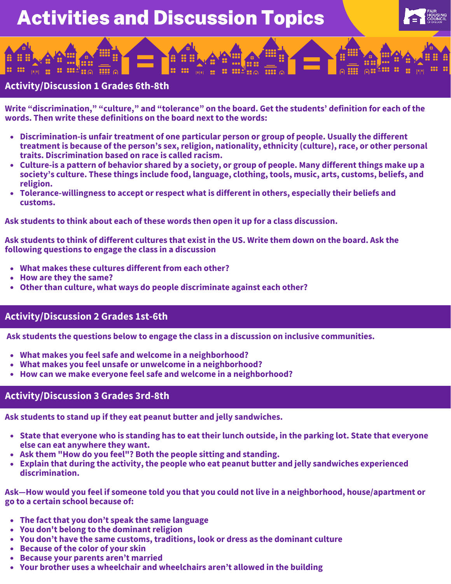# Activities and Discussion Topics



#### **Activity/Discussion 1 Grades 6th-8th**

**Write "discrimination," "culture," and "tolerance" on the board. Get the students' definition for each of the words. Then write these definitions on the board next to the words:**

- **Discrimination-is unfair treatment of one particular person or group of people. Usually the different treatment is because of the person's sex, religion, nationality, ethnicity (culture), race, or other personal traits. Discrimination based on race is called racism.**
- Culture-is a pattern of behavior shared by a society, or group of people. Many different things make up a **society's culture. These things include food, language, clothing, tools, music, arts, customs, beliefs, and religion.**
- **Tolerance-willingness to accept or respect what is different in others, especially their beliefs and customs.**

**Ask students to think about each of these words then open it up for a class discussion.**

Ask students to think of different cultures that exist in the US. Write them down on the board. Ask the **following questions to engage the class in a discussion**

- **What makes these cultures different from each other?**
- **How are they the same?**
- **Other than culture, what ways do people discriminate against each other?**

#### **Activity/Discussion 2 Grades 1st-6th**

**Ask students the questions below to engage the class in a discussion on inclusive communities.**

- **What makes you feel safe and welcome in a neighborhood?**
- **What makes you feel unsafe or unwelcome in a neighborhood?**
- **How can we make everyone feel safe and welcome in a neighborhood?**

#### **Activity/Discussion 3 Grades 3rd-8th**

**Ask students to stand up if they eat peanut butter and jelly sandwiches.**

- State that everyone who is standing has to eat their lunch outside, in the parking lot. State that everyone **else can eat anywhere they want.**
- **Ask them "How do you feel"? Both the people sitting and standing.**
- **Explain that during the activity, the people who eat peanut butter and jelly sandwiches experienced discrimination.**

Ask—How would you feel if someone told you that you could not live in a neighborhood, house/apartment or **go to a certain school because of:**

- **The fact that you don't speak the same language**
- **You don't belong to the dominant religion**
- **You don't have the same customs, traditions, look or dress as the dominant culture**
- **Because of the color of your skin**
- **Because your parents aren't married**
- **Your brother uses a wheelchair and wheelchairs aren't allowed in the building**